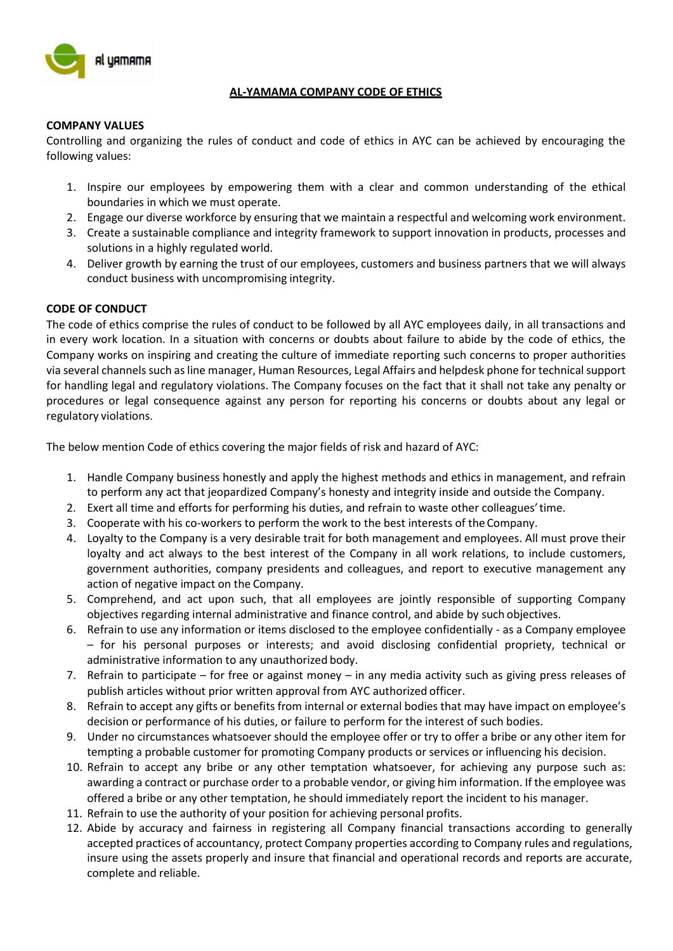

## **AL-YAMAMA COMPANY CODE OF ETHICS**

#### **COMPANY VALUES**

Controlling and organizing the rules of conduct and code of ethics in AYC can be achieved by encouraging the following values:

- 1. Inspire our employees by empowering them with a clear and common understanding of the ethical boundaries in which we must operate.
- 2. Engage our diverse workforce by ensuring that we maintain a respectful and welcoming work environment.
- 3. Create a sustainable compliance and integrity framework to support innovation in products, processes and solutions in a highly regulated world.
- 4. Deliver growth by earning the trust of our employees, customers and business partners that we will always conduct business with uncompromising integrity.

## **CODE OF CONDUCT**

The code of ethics comprise the rules of conduct to be followed by all AYC employees daily, in all transactions and in every work location. In a situation with concerns or doubts about failure to abide by the code of ethics, the Company works on inspiring and creating the culture of immediate reporting such concerns to proper authorities via several channels such as line manager, Human Resources, Legal Affairs and helpdesk phone for technical support for handling legal and regulatory violations. The Company focuses on the fact that it shall not take any penalty or procedures or legal consequence against any person for reporting his concerns or doubts about any legal or regulatory violations.

The below mention Code of ethics covering the major fields of risk and hazard of AYC:

- 1. Handle Company business honestly and apply the highest methods and ethics in management, and refrain to perform any act that jeopardized Company's honesty and integrity inside and outside the Company.
- 2. Exert all time and efforts for performing his duties, and refrain to waste other colleagues'time.
- 3. Cooperate with his co-workers to perform the work to the best interests of the Company.
- 4. Loyalty to the Company is a very desirable trait for both management and employees. All must prove their loyalty and act always to the best interest of the Company in all work relations, to include customers, government authorities, company presidents and colleagues, and report to executive management any action of negative impact on the Company.
- 5. Comprehend, and act upon such, that all employees are jointly responsible of supporting Company objectives regarding internal administrative and finance control, and abide by such objectives.
- 6. Refrain to use any information or items disclosed to the employee confidentially as a Company employee – for his personal purposes or interests; and avoid disclosing confidential propriety, technical or administrative information to any unauthorized body.
- 7. Refrain to participate for free or against money in any media activity such as giving press releases of publish articles without prior written approval from AYC authorized officer.
- 8. Refrain to accept any gifts or benefits from internal or external bodies that may have impact on employee's decision or performance of his duties, or failure to perform for the interest of such bodies.
- 9. Under no circumstances whatsoever should the employee offer or try to offer a bribe or any other item for tempting a probable customer for promoting Company products or services or influencing his decision.
- 10. Refrain to accept any bribe or any other temptation whatsoever, for achieving any purpose such as: awarding a contract or purchase order to a probable vendor, or giving him information. If the employee was offered a bribe or any other temptation, he should immediately report the incident to his manager.
- 11. Refrain to use the authority of your position for achieving personal profits.
- 12. Abide by accuracy and fairness in registering all Company financial transactions according to generally accepted practices of accountancy, protect Company properties according to Company rules and regulations, insure using the assets properly and insure that financial and operational records and reports are accurate, complete and reliable.